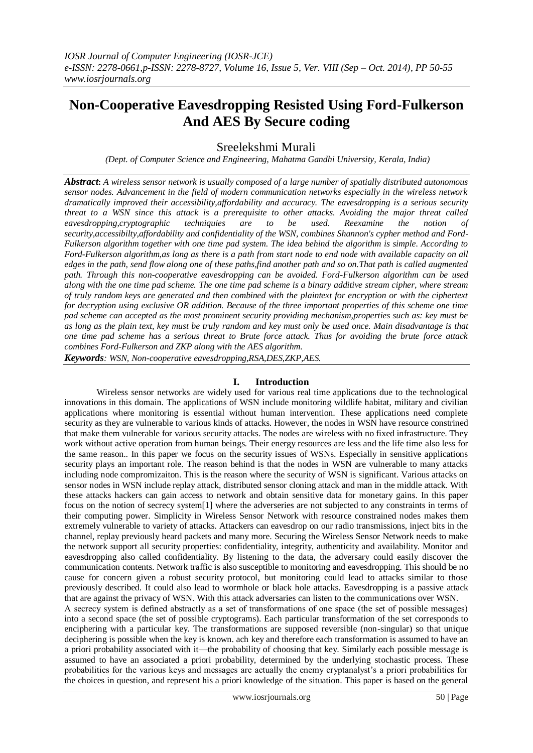# **Non-Cooperative Eavesdropping Resisted Using Ford-Fulkerson And AES By Secure coding**

Sreelekshmi Murali

*(Dept. of Computer Science and Engineering, Mahatma Gandhi University, Kerala, India)*

*Abstract***:** *A wireless sensor network is usually composed of a large number of spatially distributed autonomous sensor nodes. Advancement in the field of modern communication networks especially in the wireless network dramatically improved their accessibility,affordability and accuracy. The eavesdropping is a serious security threat to a WSN since this attack is a prerequisite to other attacks. Avoiding the major threat called eavesdropping,cryptographic techniquies are to be used. Reexamine the notion of security,accessibilty,affordability and confidentiality of the WSN, combines Shannon's cypher method and Ford-Fulkerson algorithm together with one time pad system. The idea behind the algorithm is simple. According to Ford-Fulkerson algorithm,as long as there is a path from start node to end node with available capacity on all edges in the path, send flow along one of these paths,find another path and so on.That path is called augmented path. Through this non-cooperative eavesdropping can be avoided. Ford-Fulkerson algorithm can be used along with the one time pad scheme. The one time pad scheme is a binary additive stream cipher, where stream of truly random keys are generated and then combined with the plaintext for encryption or with the ciphertext for decryption using exclusive OR addition. Because of the three important properties of this scheme one time pad scheme can accepted as the most prominent security providing mechanism,properties such as: key must be as long as the plain text, key must be truly random and key must only be used once. Main disadvantage is that one time pad scheme has a serious threat to Brute force attack. Thus for avoiding the brute force attack combines Ford-Fulkerson and ZKP along with the AES algorithm.*

*Keywords: WSN, Non-cooperative eavesdropping,RSA,DES,ZKP,AES.*

## **I. Introduction**

Wireless sensor networks are widely used for various real time applications due to the technological innovations in this domain. The applications of WSN include monitoring wildlife habitat, military and civilian applications where monitoring is essential without human intervention. These applications need complete security as they are vulnerable to various kinds of attacks. However, the nodes in WSN have resource constrined that make them vulnerable for various security attacks. The nodes are wireless with no fixed infrastructure. They work without active operation from human beings. Their energy resources are less and the life time also less for the same reason.. In this paper we focus on the security issues of WSNs. Especially in sensitive applications security plays an important role. The reason behind is that the nodes in WSN are vulnerable to many attacks including node compromizaiton. This is the reason where the security of WSN is significant. Various attacks on sensor nodes in WSN include replay attack, distributed sensor cloning attack and man in the middle attack. With these attacks hackers can gain access to network and obtain sensitive data for monetary gains. In this paper focus on the notion of secrecy system[1] where the adverseries are not subjected to any constraints in terms of their computing power. Simplicity in Wireless Sensor Network with resource constrained nodes makes them extremely vulnerable to variety of attacks. Attackers can eavesdrop on our radio transmissions, inject bits in the channel, replay previously heard packets and many more. Securing the Wireless Sensor Network needs to make the network support all security properties: confidentiality, integrity, authenticity and availability. Monitor and eavesdropping also called confidentiality. By listening to the data, the adversary could easily discover the communication contents. Network traffic is also susceptible to monitoring and eavesdropping. This should be no cause for concern given a robust security protocol, but monitoring could lead to attacks similar to those previously described. It could also lead to wormhole or black hole attacks. Eavesdropping is a passive attack that are against the privacy of WSN. With this attack adversaries can listen to the communications over WSN. A secrecy system is defined abstractly as a set of transformations of one space (the set of possible messages) into a second space (the set of possible cryptograms). Each particular transformation of the set corresponds to enciphering with a particular key. The transformations are supposed reversible (non-singular) so that unique deciphering is possible when the key is known. ach key and therefore each transformation is assumed to have an a priori probability associated with it—the probability of choosing that key. Similarly each possible message is assumed to have an associated a priori probability, determined by the underlying stochastic process. These probabilities for the various keys and messages are actually the enemy cryptanalyst's a priori probabilities for the choices in question, and represent his a priori knowledge of the situation. This paper is based on the general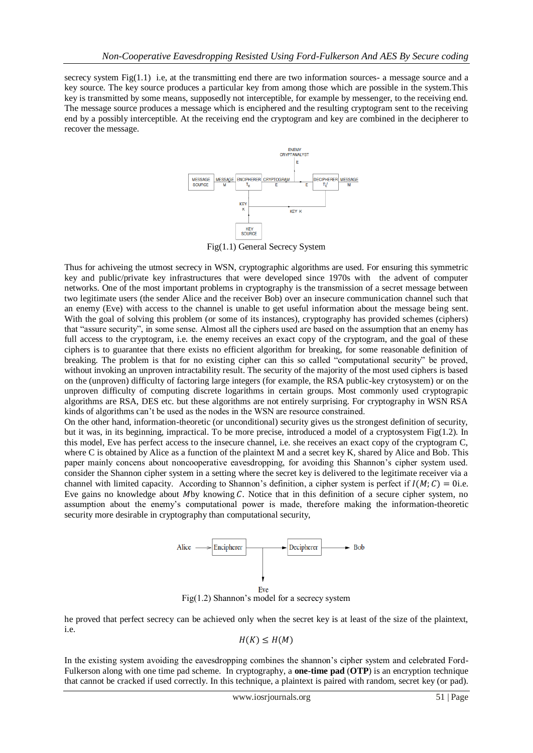secrecy system Fig(1.1) i.e, at the transmitting end there are two information sources- a message source and a key source. The key source produces a particular key from among those which are possible in the system.This key is transmitted by some means, supposedly not interceptible, for example by messenger, to the receiving end. The message source produces a message which is enciphered and the resulting cryptogram sent to the receiving end by a possibly interceptible. At the receiving end the cryptogram and key are combined in the decipherer to recover the message.



Fig(1.1) General Secrecy System

Thus for achiveing the utmost secrecy in WSN, cryptographic algorithms are used. For ensuring this symmetric key and public/private key infrastructures that were developed since 1970s with the advent of computer networks. One of the most important problems in cryptography is the transmission of a secret message between two legitimate users (the sender Alice and the receiver Bob) over an insecure communication channel such that an enemy (Eve) with access to the channel is unable to get useful information about the message being sent. With the goal of solving this problem (or some of its instances), cryptography has provided schemes (ciphers) that "assure security", in some sense. Almost all the ciphers used are based on the assumption that an enemy has full access to the cryptogram, i.e. the enemy receives an exact copy of the cryptogram, and the goal of these ciphers is to guarantee that there exists no efficient algorithm for breaking, for some reasonable definition of breaking. The problem is that for no existing cipher can this so called "computational security" be proved, without invoking an unproven intractability result. The security of the majority of the most used ciphers is based on the (unproven) difficulty of factoring large integers (for example, the RSA public-key crytosystem) or on the unproven difficulty of computing discrete logarithms in certain groups. Most commonly used cryptograpic algorithms are RSA, DES etc. but these algorithms are not entirely surprising. For cryptography in WSN RSA kinds of algorithms can't be used as the nodes in the WSN are resource constrained.

On the other hand, information-theoretic (or unconditional) security gives us the strongest definition of security, but it was, in its beginning, impractical. To be more precise, introduced a model of a cryptosystem Fig(1.2). In this model, Eve has perfect access to the insecure channel, i.e. she receives an exact copy of the cryptogram C, where C is obtained by Alice as a function of the plaintext M and a secret key K, shared by Alice and Bob. This paper mainly concens about noncooperative eavesdropping, for avoiding this Shannon's cipher system used. consider the Shannon cipher system in a setting where the secret key is delivered to the legitimate receiver via a channel with limited capacity. According to Shannon's definition, a cipher system is perfect if  $I(M; C) = 0$ i.e. Eve gains no knowledge about Mby knowing  $C$ . Notice that in this definition of a secure cipher system, no assumption about the enemy's computational power is made, therefore making the information-theoretic security more desirable in cryptography than computational security,



Fig(1.2) Shannon's model for a secrecy system

he proved that perfect secrecy can be achieved only when the secret key is at least of the size of the plaintext, i.e.

$$
H(K)\leq H(M)
$$

In the existing system avoiding the eavesdropping combines the shannon's cipher system and celebrated Ford-Fulkerson along with one time pad scheme. In [cryptography,](http://en.wikipedia.org/wiki/Cryptography) a **one-time pad** (**OTP**) is an [encryption](http://en.wikipedia.org/wiki/Encryption) technique that cannot be [cracked](http://en.wikipedia.org/wiki/Cryptanalysis) if used correctly. In this technique, a [plaintext](http://en.wikipedia.org/wiki/Plaintext) is paired with random, secret [key](http://en.wikipedia.org/wiki/Key_%28cryptography%29) (or pad).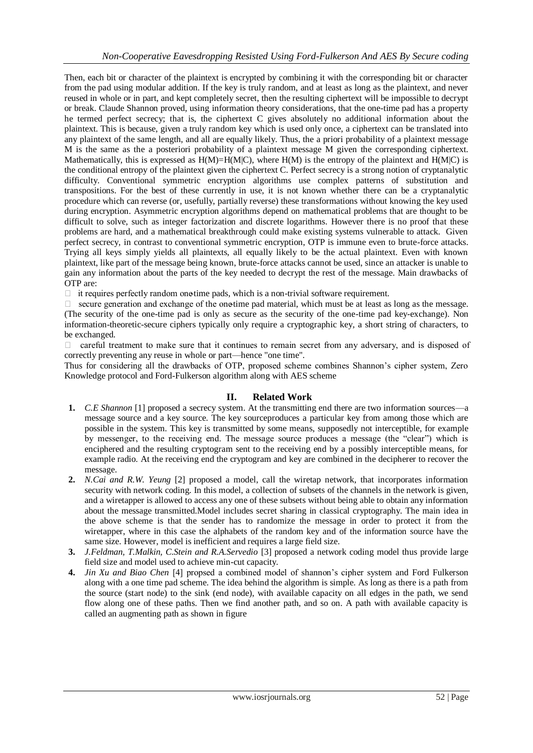Then, each bit or character of the plaintext is encrypted by combining it with the corresponding bit or character from the pad using [modular addition.](http://en.wikipedia.org/wiki/Modular_addition) If the key is truly [random,](http://en.wikipedia.org/wiki/Random) and at least as long as the plaintext, and never reused in whole or in part, and kept completely [secret,](http://en.wikipedia.org/wiki/Secret) then the resultin[g ciphertext](http://en.wikipedia.org/wiki/Ciphertext) will be impossible to decrypt or break. Claude Shannon proved, using [information theory](http://en.wikipedia.org/wiki/Information_theory) considerations, that the one-time pad has a property he termed perfect secrecy; that is, the ciphertext C gives absolutely no additional [information](http://en.wikipedia.org/wiki/Information) about the [plaintext.](http://en.wikipedia.org/wiki/Plaintext) This is because, given a truly random key which is used only once, a ciphertext can be translated into any plaintext of the same length, and all are equally likely. Thus, the [a priori](http://en.wikipedia.org/wiki/A_priori_%28philosophy%29) probability of a plaintext message M is the same as the [a posteriori](http://en.wikipedia.org/wiki/Empirical_knowledge) probability of a plaintext message M given the corresponding ciphertext. Mathematically, this is expressed as  $H(M)=H(M|C)$ , where  $H(M)$  is the [entropy](http://en.wikipedia.org/wiki/Information_entropy) of the plaintext and  $H(M|C)$  is the [conditional entropy](http://en.wikipedia.org/wiki/Conditional_entropy) of the plaintext given the ciphertext C. Perfect secrecy is a strong notion of cryptanalytic difficulty. Conventional symmetric encryption algorithms use complex patterns of substitution and transpositions. For the best of these currently in use, it is not known whether there can be a cryptanalytic procedure which can reverse (or, usefully, partially reverse) these transformations without knowing the key used during encryption. Asymmetric encryption algorithms depend on mathematical problems that are thought to be difficult to solve, such as [integer factorization](http://en.wikipedia.org/wiki/Integer_factorization) and [discrete logarithms.](http://en.wikipedia.org/wiki/Discrete_logarithm) However there is no proof that these problems are hard, and a mathematical breakthrough could make existing systems vulnerable to attack. Given perfect secrecy, in contrast to conventional symmetric encryption, OTP is immune even to brute-force attacks. Trying all keys simply yields all plaintexts, all equally likely to be the actual plaintext. Even with known plaintext, like part of the message being known, brute-force attacks cannot be used, since an attacker is unable to gain any information about the parts of the key needed to decrypt the rest of the message. Main drawbacks of OTP are:

 $\Box$  it requires perfectly random one-time pads, which is a non-trivial software requirement.

 $\Box$  secure generation and exchange of the one-time pad material, which must be at least as long as the message. (The security of the one-time pad is only as secure as the security of the one-time pad key-exchange). Non information-theoretic-secure ciphers typically only require a [cryptographic key,](http://en.wikipedia.org/wiki/Cryptographic_key) a short string of characters, to be exchanged.

 $\Box$  careful treatment to make sure that it continues to remain secret from any adversary, and is disposed of correctly preventing any reuse in whole or part—hence "one time".

Thus for considering all the drawbacks of OTP, proposed scheme combines Shannon's cipher system, Zero Knowledge protocol and Ford-Fulkerson algorithm along with AES scheme

## **II. Related Work**

- **1.** *C.E Shannon* [1] proposed a secrecy system. At the transmitting end there are two information sources—a message source and a key source. The key sourceproduces a particular key from among those which are possible in the system. This key is transmitted by some means, supposedly not interceptible, for example by messenger, to the receiving end. The message source produces a message (the "clear") which is enciphered and the resulting cryptogram sent to the receiving end by a possibly interceptible means, for example radio. At the receiving end the cryptogram and key are combined in the decipherer to recover the message.
- **2.** *N.Cai and R.W. Yeung* [2] proposed a model, call the wiretap network, that incorporates information security with network coding. In this model, a collection of subsets of the channels in the network is given, and a wiretapper is allowed to access any one of these subsets without being able to obtain any information about the message transmitted.Model includes secret sharing in classical cryptography. The main idea in the above scheme is that the sender has to randomize the message in order to protect it from the wiretapper, where in this case the alphabets of the random key and of the information source have the same size. However, model is inefficient and requires a large field size.
- **3.** *J.Feldman, T.Malkin, C.Stein and R.A.Servedio* [3] proposed a network coding model thus provide large field size and model used to achieve min-cut capacity.
- **4.** *Jin Xu and Biao Chen* [4] propsed a combined model of shannon's cipher system and Ford Fulkerson along with a one time pad scheme. The idea behind the algorithm is simple. As long as there is a path from the source (start node) to the sink (end node), with available capacity on all edges in the path, we send flow along one of these paths. Then we find another path, and so on. A path with available capacity is called an augmenting path as shown in figure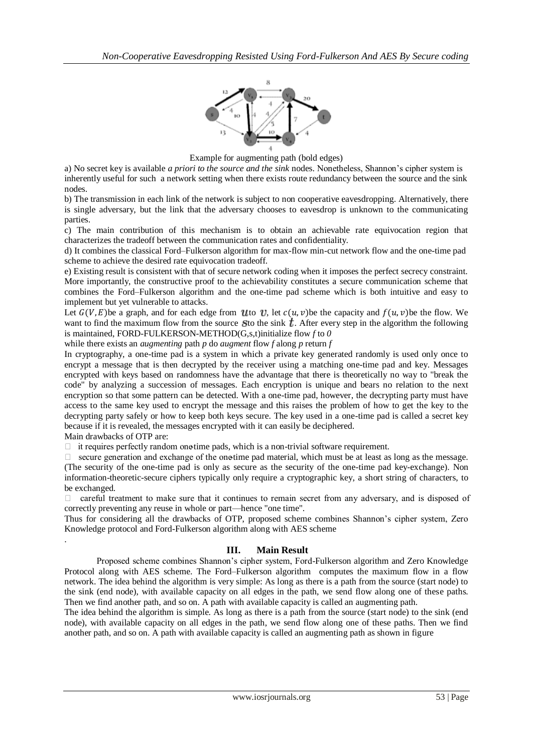

Example for augmenting path (bold edges)

a) No secret key is available *a priori to the source and the sink* nodes. Nonetheless, Shannon's cipher system is inherently useful for such a network setting when there exists route redundancy between the source and the sink nodes.

b) The transmission in each link of the network is subject to non cooperative eavesdropping. Alternatively, there is single adversary, but the link that the adversary chooses to eavesdrop is unknown to the communicating parties.

c) The main contribution of this mechanism is to obtain an achievable rate equivocation region that characterizes the tradeoff between the communication rates and confidentiality.

d) It combines the classical Ford–Fulkerson algorithm for max-flow min-cut network flow and the one-time pad scheme to achieve the desired rate equivocation tradeoff.

e) Existing result is consistent with that of secure network coding when it imposes the perfect secrecy constraint. More importantly, the constructive proof to the achievability constitutes a secure communication scheme that combines the Ford–Fulkerson algorithm and the one-time pad scheme which is both intuitive and easy to implement but yet vulnerable to attacks.

Let  $G(V, E)$  be a graph, and for each edge from Uto U, let  $c(u, v)$  be the capacity and  $f(u, v)$  be the flow. We want to find the maximum flow from the source S to the sink  $\bar{t}$ . After every step in the algorithm the following is maintained, FORD-FULKERSON-METHOD(G,s,t)initialize flow *f* to *0*

while there exists an *augmenting* path *p* do *augment* flow *f* along *p* return *f*

In cryptography, a one-time pad is a system in which a [private key](http://searchsecurity.techtarget.com/definition/private-key) generated randomly is used only once to [encrypt](http://searchsecurity.techtarget.com/definition/encryption) a message that is then decrypted by the receiver using a matching one-time pad and key. Messages encrypted with keys based on randomness have the advantage that there is theoretically no way to "break the code" by analyzing a succession of messages. Each [encryption](http://searchsecurity.techtarget.com/definition/encryption) is unique and bears no relation to the next encryption so that some pattern can be detected. With a one-time pad, however, the decrypting party must have access to the same key used to encrypt the message and this raises the problem of how to get the key to the decrypting party safely or how to keep both keys secure. The key used in a one-time pad is called a secret key because if it is revealed, the messages encrypted with it can easily be deciphered.

Main drawbacks of OTP are:

.

 $\Box$  it requires perfectly random one-time pads, which is a non-trivial software requirement.

secure generation and exchange of the one-time pad material, which must be at least as long as the message. (The security of the one-time pad is only as secure as the security of the one-time pad key-exchange). Non information-theoretic-secure ciphers typically only require a [cryptographic key,](http://en.wikipedia.org/wiki/Cryptographic_key) a short string of characters, to be exchanged.

 $\Box$  careful treatment to make sure that it continues to remain secret from any adversary, and is disposed of correctly preventing any reuse in whole or part—hence "one time".

Thus for considering all the drawbacks of OTP, proposed scheme combines Shannon's cipher system, Zero Knowledge protocol and Ford-Fulkerson algorithm along with AES scheme

## **III. Main Result**

Proposed scheme combines Shannon's cipher system, Ford-Fulkerson algorithm and Zero Knowledge Protocol along with AES scheme. The Ford–Fulkerson algorithm computes the [maximum flow](http://www.wikipedia.org/wiki/Maximum_flow_problem) in a [flow](http://www.wikipedia.org/wiki/Flow_network)  [network.](http://www.wikipedia.org/wiki/Flow_network) The idea behind the [algorithm](http://www.wikipedia.org/wiki/Algorithm) is very simple: As long as there is a path from the source (start node) to the sink (end node), with available capacity on all edges in the path, we send flow along one of these paths. Then we find another path, and so on. A path with available capacity is called an [augmenting path.](http://www.wikipedia.org/wiki/Augmenting_path)

The idea behind the algorithm is simple. As long as there is a path from the source (start node) to the sink (end node), with available capacity on all edges in the path, we send flow along one of these paths. Then we find another path, and so on. A path with available capacity is called an augmenting path as shown in figure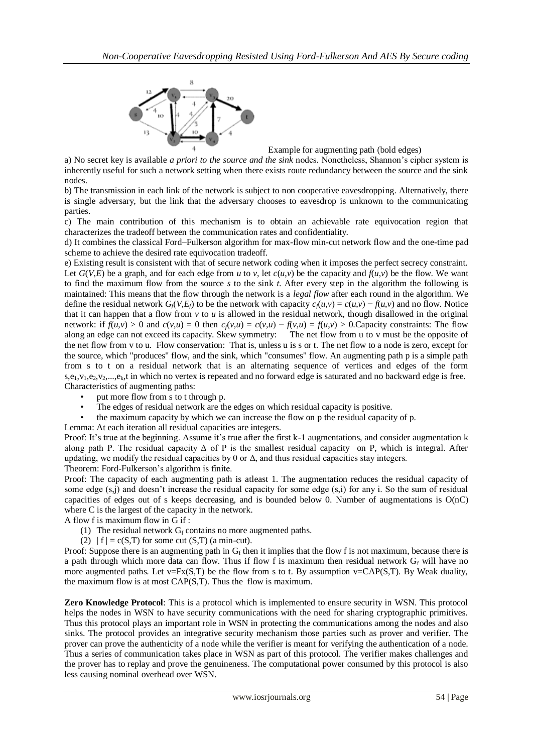

Example for augmenting path (bold edges)

a) No secret key is available *a priori to the source and the sink* nodes. Nonetheless, Shannon's cipher system is inherently useful for such a network setting when there exists route redundancy between the source and the sink nodes.

b) The transmission in each link of the network is subject to non cooperative eavesdropping. Alternatively, there is single adversary, but the link that the adversary chooses to eavesdrop is unknown to the communicating parties.

c) The main contribution of this mechanism is to obtain an achievable rate equivocation region that characterizes the tradeoff between the communication rates and confidentiality.

d) It combines the classical Ford–Fulkerson algorithm for max-flow min-cut network flow and the one-time pad scheme to achieve the desired rate equivocation tradeoff.

e) Existing result is consistent with that of secure network coding when it imposes the perfect secrecy constraint. Let  $G(V,E)$  be a graph, and for each edge from *u* to *v*, let  $c(u,v)$  be the capacity and  $f(u,v)$  be the flow. We want to find the maximum flow from the source *s* to the sink *t*. After every step in the algorithm the following is maintained: This means that the flow through the network is a *legal flow* after each round in the algorithm. We define the residual network  $G_f(V, E_f)$  to be the network with capacity  $c_f(u, v) = c(u, v) - f(u, v)$  and no flow. Notice that it can happen that a flow from  $\nu$  to  $\mu$  is allowed in the residual network, though disallowed in the original network: if  $f(u,v) > 0$  and  $c(v,u) = 0$  then  $c_f(v,u) = c(v,u) - f(v,u) = f(u,v) > 0$ . Capacity constraints: The flow along an edge can not exceed its capacity. Skew symmetry: The net flow from u to v must be the opposite of along an edge can not exceed its capacity. Skew symmetry: the net flow from v to u. Flow conservation: That is, unless u is s or t. The net flow to a node is zero, except for the source, which "produces" flow, and the sink, which "consumes" flow. An augmenting path p is a simple path from s to t on a residual network that is an alternating sequence of vertices and edges of the form  $s, e_1, v_1, e_2, v_2, \ldots, e_k$ , in which no vertex is repeated and no forward edge is saturated and no backward edge is free. Characteristics of augmenting paths:

- put more flow from s to t through p.
- The edges of residual network are the edges on which residual capacity is positive.
- the maximum capacity by which we can increase the flow on p the residual capacity of p.

Lemma: At each iteration all residual capacities are integers.

Proof: It's true at the beginning. Assume it's true after the first k-1 augmentations, and consider augmentation k along path P. The residual capacity  $\Delta$  of P is the smallest residual capacity on P, which is integral. After updating, we modify the residual capacities by 0 or  $\Delta$ , and thus residual capacities stay integers. Theorem: Ford-Fulkerson's algorithm is finite.

Proof: The capacity of each augmenting path is atleast 1. The augmentation reduces the residual capacity of some edge (s,j) and doesn't increase the residual capacity for some edge (s,i) for any i. So the sum of residual capacities of edges out of s keeps decreasing, and is bounded below 0. Number of augmentations is  $O(nC)$ where C is the largest of the capacity in the network.

A flow f is maximum flow in G if :

- (1) The residual network  $G_f$  contains no more augmented paths.
- (2)  $|f| = c(S,T)$  for some cut  $(S,T)$  (a min-cut).

Proof: Suppose there is an augmenting path in  $G_f$  then it implies that the flow f is not maximum, because there is a path through which more data can flow. Thus if flow f is maximum then residual network  $G_f$  will have no more augmented paths. Let  $v = Fx(S,T)$  be the flow from s to t. By assumption  $v = CAP(S,T)$ . By Weak duality, the maximum flow is at most CAP(S,T). Thus the flow is maximum.

**Zero Knowledge Protocol**: This is a protocol which is implemented to ensure security in WSN. This protocol helps the nodes in WSN to have security communications with the need for sharing cryptographic primitives. Thus this protocol plays an important role in WSN in protecting the communications among the nodes and also sinks. The protocol provides an integrative security mechanism those parties such as prover and verifier. The prover can prove the authenticity of a node while the verifier is meant for verifying the authentication of a node. Thus a series of communication takes place in WSN as part of this protocol. The verifier makes challenges and the prover has to replay and prove the genuineness. The computational power consumed by this protocol is also less causing nominal overhead over WSN.